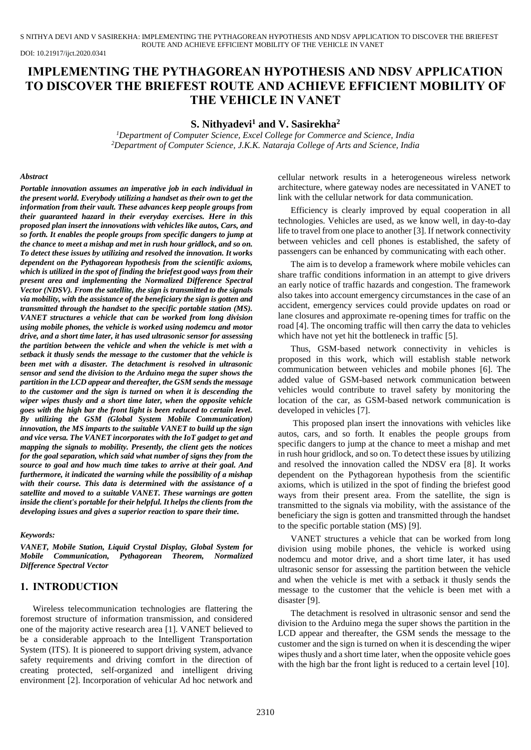S NITHYA DEVI AND V SASIREKHA: IMPLEMENTING THE PYTHAGOREAN HYPOTHESIS AND NDSV APPLICATION TO DISCOVER THE BRIEFEST ROUTE AND ACHIEVE EFFICIENT MOBILITY OF THE VEHICLE IN VANET

DOI: 10.21917/ijct.2020.0341

# **IMPLEMENTING THE PYTHAGOREAN HYPOTHESIS AND NDSV APPLICATION TO DISCOVER THE BRIEFEST ROUTE AND ACHIEVE EFFICIENT MOBILITY OF THE VEHICLE IN VANET**

### **S. Nithyadevi<sup>1</sup> and V. Sasirekha<sup>2</sup>**

*<sup>1</sup>Department of Computer Science, Excel College for Commerce and Science, India <sup>2</sup>Department of Computer Science, J.K.K. Nataraja College of Arts and Science, India*

#### *Abstract*

*Portable innovation assumes an imperative job in each individual in the present world. Everybody utilizing a handset as their own to get the information from their vault. These advances keep people groups from their guaranteed hazard in their everyday exercises. Here in this proposed plan insert the innovations with vehicles like autos, Cars, and so forth. It enables the people groups from specific dangers to jump at the chance to meet a mishap and met in rush hour gridlock, and so on. To detect these issues by utilizing and resolved the innovation. It works dependent on the Pythagorean hypothesis from the scientific axioms, which is utilized in the spot of finding the briefest good ways from their present area and implementing the Normalized Difference Spectral Vector (NDSV). From the satellite, the sign is transmitted to the signals via mobility, with the assistance of the beneficiary the sign is gotten and transmitted through the handset to the specific portable station (MS). VANET structures a vehicle that can be worked from long division using mobile phones, the vehicle is worked using nodemcu and motor drive, and a short time later, it has used ultrasonic sensor for assessing the partition between the vehicle and when the vehicle is met with a setback it thusly sends the message to the customer that the vehicle is been met with a disaster. The detachment is resolved in ultrasonic sensor and send the division to the Arduino mega the super shows the partition in the LCD appear and thereafter, the GSM sends the message to the customer and the sign is turned on when it is descending the wiper wipes thusly and a short time later, when the opposite vehicle goes with the high bar the front light is been reduced to certain level. By utilizing the GSM (Global System Mobile Communication) innovation, the MS imparts to the suitable VANET to build up the sign and vice versa. The VANET incorporates with the IoT gadget to get and mapping the signals to mobility. Presently, the client gets the notices for the goal separation, which said what number of signs they from the source to goal and how much time takes to arrive at their goal. And furthermore, it indicated the warning while the possibility of a mishap with their course. This data is determined with the assistance of a satellite and moved to a suitable VANET. These warnings are gotten inside the client's portable for their helpful. It helps the clients from the developing issues and gives a superior reaction to spare their time.*

#### *Keywords:*

*VANET, Mobile Station, Liquid Crystal Display, Global System for Mobile Communication, Pythagorean Theorem, Normalized Difference Spectral Vector*

### **1. INTRODUCTION**

Wireless telecommunication technologies are flattering the foremost structure of information transmission, and considered one of the majority active research area [1]. VANET believed to be a considerable approach to the Intelligent Transportation System (ITS). It is pioneered to support driving system, advance safety requirements and driving comfort in the direction of creating protected, self-organized and intelligent driving environment [2]. Incorporation of vehicular Ad hoc network and

cellular network results in a heterogeneous wireless network architecture, where gateway nodes are necessitated in VANET to link with the cellular network for data communication.

Efficiency is clearly improved by equal cooperation in all technologies. Vehicles are used, as we know well, in day-to-day life to travel from one place to another [3]. If network connectivity between vehicles and cell phones is established, the safety of passengers can be enhanced by communicating with each other.

The aim is to develop a framework where mobile vehicles can share traffic conditions information in an attempt to give drivers an early notice of traffic hazards and congestion. The framework also takes into account emergency circumstances in the case of an accident, emergency services could provide updates on road or lane closures and approximate re-opening times for traffic on the road [4]. The oncoming traffic will then carry the data to vehicles which have not yet hit the bottleneck in traffic [5].

Thus, GSM-based network connectivity in vehicles is proposed in this work, which will establish stable network communication between vehicles and mobile phones [6]. The added value of GSM-based network communication between vehicles would contribute to travel safety by monitoring the location of the car, as GSM-based network communication is developed in vehicles [7].

This proposed plan insert the innovations with vehicles like autos, cars, and so forth. It enables the people groups from specific dangers to jump at the chance to meet a mishap and met in rush hour gridlock, and so on. To detect these issues by utilizing and resolved the innovation called the NDSV era [8]. It works dependent on the Pythagorean hypothesis from the scientific axioms, which is utilized in the spot of finding the briefest good ways from their present area. From the satellite, the sign is transmitted to the signals via mobility, with the assistance of the beneficiary the sign is gotten and transmitted through the handset to the specific portable station (MS) [9].

VANET structures a vehicle that can be worked from long division using mobile phones, the vehicle is worked using nodemcu and motor drive, and a short time later, it has used ultrasonic sensor for assessing the partition between the vehicle and when the vehicle is met with a setback it thusly sends the message to the customer that the vehicle is been met with a disaster [9].

The detachment is resolved in ultrasonic sensor and send the division to the Arduino mega the super shows the partition in the LCD appear and thereafter, the GSM sends the message to the customer and the sign is turned on when it is descending the wiper wipes thusly and a short time later, when the opposite vehicle goes with the high bar the front light is reduced to a certain level [10].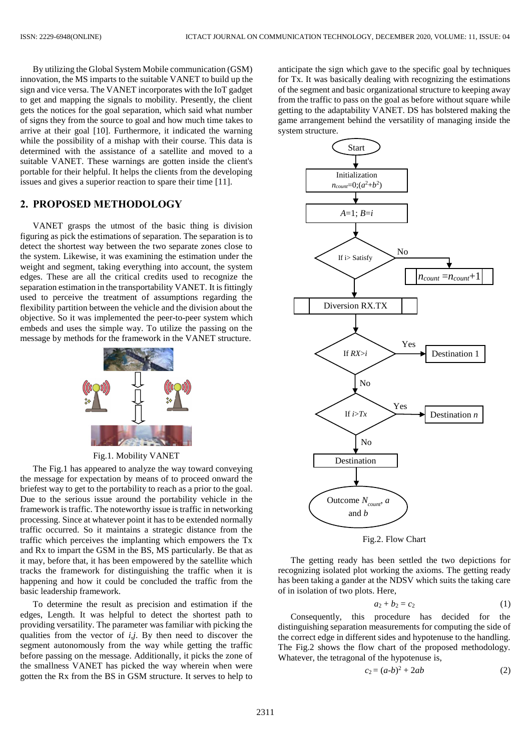By utilizing the Global System Mobile communication (GSM) innovation, the MS imparts to the suitable VANET to build up the sign and vice versa. The VANET incorporates with the IoT gadget to get and mapping the signals to mobility. Presently, the client gets the notices for the goal separation, which said what number of signs they from the source to goal and how much time takes to arrive at their goal [10]. Furthermore, it indicated the warning while the possibility of a mishap with their course. This data is determined with the assistance of a satellite and moved to a suitable VANET. These warnings are gotten inside the client's portable for their helpful. It helps the clients from the developing issues and gives a superior reaction to spare their time [11].

## **2. PROPOSED METHODOLOGY**

VANET grasps the utmost of the basic thing is division figuring as pick the estimations of separation. The separation is to detect the shortest way between the two separate zones close to the system. Likewise, it was examining the estimation under the weight and segment, taking everything into account, the system edges. These are all the critical credits used to recognize the separation estimation in the transportability VANET. It is fittingly used to perceive the treatment of assumptions regarding the flexibility partition between the vehicle and the division about the objective. So it was implemented the peer-to-peer system which embeds and uses the simple way. To utilize the passing on the message by methods for the framework in the VANET structure.



Fig.1. Mobility VANET

The Fig.1 has appeared to analyze the way toward conveying the message for expectation by means of to proceed onward the briefest way to get to the portability to reach as a prior to the goal. Due to the serious issue around the portability vehicle in the framework is traffic. The noteworthy issue is traffic in networking processing. Since at whatever point it has to be extended normally traffic occurred. So it maintains a strategic distance from the traffic which perceives the implanting which empowers the Tx and Rx to impart the GSM in the BS, MS particularly. Be that as it may, before that, it has been empowered by the satellite which tracks the framework for distinguishing the traffic when it is happening and how it could be concluded the traffic from the basic leadership framework.

To determine the result as precision and estimation if the edges, Length. It was helpful to detect the shortest path to providing versatility. The parameter was familiar with picking the qualities from the vector of *i*,*j*. By then need to discover the segment autonomously from the way while getting the traffic before passing on the message. Additionally, it picks the zone of the smallness VANET has picked the way wherein when were gotten the Rx from the BS in GSM structure. It serves to help to

anticipate the sign which gave to the specific goal by techniques for Tx. It was basically dealing with recognizing the estimations of the segment and basic organizational structure to keeping away from the traffic to pass on the goal as before without square while getting to the adaptability VANET. DS has bolstered making the game arrangement behind the versatility of managing inside the system structure.



Fig.2. Flow Chart

The getting ready has been settled the two depictions for recognizing isolated plot working the axioms. The getting ready has been taking a gander at the NDSV which suits the taking care of in isolation of two plots. Here,

$$
a_2 + b_2 = c_2 \tag{1}
$$

Consequently, this procedure has decided for the distinguishing separation measurements for computing the side of the correct edge in different sides and hypotenuse to the handling. The Fig.2 shows the flow chart of the proposed methodology. Whatever, the tetragonal of the hypotenuse is,

$$
c_2 = (a-b)^2 + 2ab \tag{2}
$$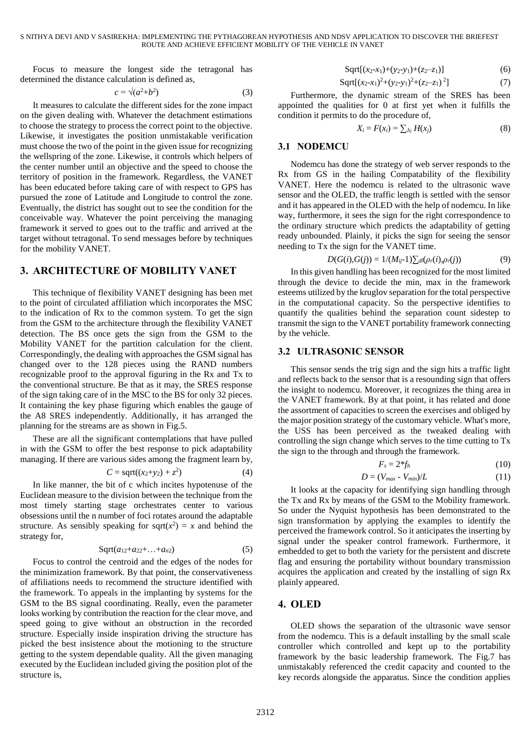Focus to measure the longest side the tetragonal has determined the distance calculation is defined as,

$$
c = \sqrt{a^2 + b^2} \tag{3}
$$

It measures to calculate the different sides for the zone impact on the given dealing with. Whatever the detachment estimations to choose the strategy to process the correct point to the objective. Likewise, it investigates the position unmistakable verification must choose the two of the point in the given issue for recognizing the wellspring of the zone. Likewise, it controls which helpers of the center number until an objective and the speed to choose the territory of position in the framework. Regardless, the VANET has been educated before taking care of with respect to GPS has pursued the zone of Latitude and Longitude to control the zone. Eventually, the district has sought out to see the condition for the conceivable way. Whatever the point perceiving the managing framework it served to goes out to the traffic and arrived at the target without tetragonal. To send messages before by techniques for the mobility VANET.

### **3. ARCHITECTURE OF MOBILITY VANET**

This technique of flexibility VANET designing has been met to the point of circulated affiliation which incorporates the MSC to the indication of Rx to the common system. To get the sign from the GSM to the architecture through the flexibility VANET detection. The BS once gets the sign from the GSM to the Mobility VANET for the partition calculation for the client. Correspondingly, the dealing with approaches the GSM signal has changed over to the 128 pieces using the RAND numbers recognizable proof to the approval figuring in the Rx and Tx to the conventional structure. Be that as it may, the SRES response of the sign taking care of in the MSC to the BS for only 32 pieces. It containing the key phase figuring which enables the gauge of the A8 SRES independently. Additionally, it has arranged the planning for the streams are as shown in Fig.5.

These are all the significant contemplations that have pulled in with the GSM to offer the best response to pick adaptability managing. If there are various sides among the fragment learn by,

$$
C = \text{sqrt}((x_2+y_2) + z^2)
$$
 (4)

In like manner, the bit of c which incites hypotenuse of the Euclidean measure to the division between the technique from the most timely starting stage orchestrates center to various obsessions until the n number of foci rotates around the adaptable structure. As sensibly speaking for sqrt( $x^2$ ) = *x* and behind the strategy for,

$$
Sqrt(a_{12}+a_{22}+\ldots+a_{n2}) \qquad (5)
$$

Focus to control the centroid and the edges of the nodes for the minimization framework. By that point, the conservativeness of affiliations needs to recommend the structure identified with the framework. To appeals in the implanting by systems for the GSM to the BS signal coordinating. Really, even the parameter looks working by contribution the reaction for the clear move, and speed going to give without an obstruction in the recorded structure. Especially inside inspiration driving the structure has picked the best insistence about the motioning to the structure getting to the system dependable quality. All the given managing executed by the Euclidean included giving the position plot of the structure is,

$$
Sqrt[(x_2-x_1)+(y_2-y_1)+(z_2-z_1)] \tag{6}
$$

$$
Sqrt[(x_2-x_1)^2+(y_2-y_1)^2+(z_2-z_1)^2]
$$
\n(7)

Furthermore, the dynamic stream of the SRES has been appointed the qualities for 0 at first yet when it fulfills the condition it permits to do the procedure of,

$$
X_i = F(x_i) = \sum_{J_{ij}} H(x_j) \tag{8}
$$

### **3.1 NODEMCU**

Nodemcu has done the strategy of web server responds to the Rx from GS in the hailing Compatability of the flexibility VANET. Here the nodemcu is related to the ultrasonic wave sensor and the OLED, the traffic length is settled with the sensor and it has appeared in the OLED with the help of nodemcu. In like way, furthermore, it sees the sign for the right correspondence to the ordinary structure which predicts the adaptability of getting ready unbounded. Plainly, it picks the sign for seeing the sensor needing to Tx the sign for the VANET time.

$$
D(G(i), G(j)) = 1/(M_{ij} - 1) \sum_{d} (\rho_r(i), \rho_r(j))
$$
\n(9)

In this given handling has been recognized for the most limited through the device to decide the min, max in the framework esteems utilized by the kruglov separation for the total perspective in the computational capacity. So the perspective identifies to quantify the qualities behind the separation count sidestep to transmit the sign to the VANET portability framework connecting by the vehicle.

#### **3.2 ULTRASONIC SENSOR**

This sensor sends the trig sign and the sign hits a traffic light and reflects back to the sensor that is a resounding sign that offers the insight to nodemcu. Moreover, it recognizes the thing area in the VANET framework. By at that point, it has related and done the assortment of capacities to screen the exercises and obliged by the major position strategy of the customary vehicle. What's more, the USS has been perceived as the tweaked dealing with controlling the sign change which serves to the time cutting to Tx the sign to the through and through the framework.

$$
F_s = 2^* f_h \tag{10}
$$

$$
D = (V_{max} - V_{min})/L \tag{11}
$$

It looks at the capacity for identifying sign handling through the Tx and Rx by means of the GSM to the Mobility framework. So under the Nyquist hypothesis has been demonstrated to the sign transformation by applying the examples to identify the perceived the framework control. So it anticipates the inserting by signal under the speaker control framework. Furthermore, it embedded to get to both the variety for the persistent and discrete flag and ensuring the portability without boundary transmission acquires the application and created by the installing of sign Rx plainly appeared.

### **4. OLED**

OLED shows the separation of the ultrasonic wave sensor from the nodemcu. This is a default installing by the small scale controller which controlled and kept up to the portability framework by the basic leadership framework. The Fig.7 has unmistakably referenced the credit capacity and counted to the key records alongside the apparatus. Since the condition applies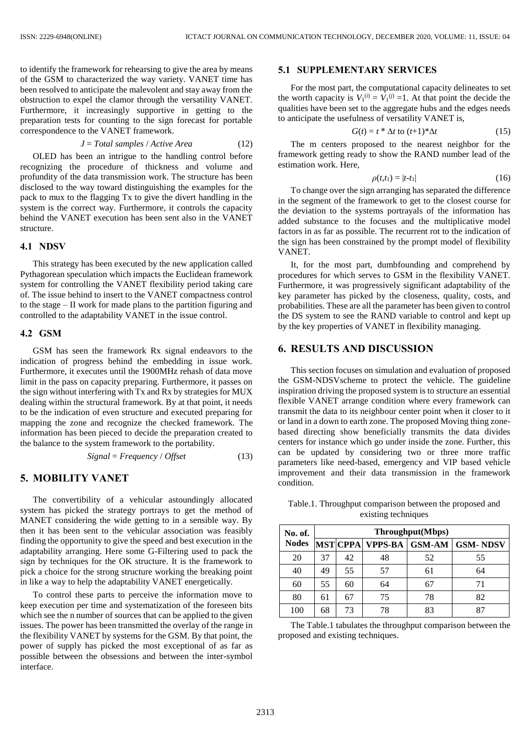to identify the framework for rehearsing to give the area by means of the GSM to characterized the way variety. VANET time has been resolved to anticipate the malevolent and stay away from the obstruction to expel the clamor through the versatility VANET. Furthermore, it increasingly supportive in getting to the preparation tests for counting to the sign forecast for portable correspondence to the VANET framework.

$$
J = Total \, samples / Active \, Area \tag{12}
$$

OLED has been an intrigue to the handling control before recognizing the procedure of thickness and volume and profundity of the data transmission work. The structure has been disclosed to the way toward distinguishing the examples for the pack to mux to the flagging Tx to give the divert handling in the system is the correct way. Furthermore, it controls the capacity behind the VANET execution has been sent also in the VANET structure.

#### **4.1 NDSV**

This strategy has been executed by the new application called Pythagorean speculation which impacts the Euclidean framework system for controlling the VANET flexibility period taking care of. The issue behind to insert to the VANET compactness control to the stage – II work for made plans to the partition figuring and controlled to the adaptability VANET in the issue control.

### **4.2 GSM**

GSM has seen the framework Rx signal endeavors to the indication of progress behind the embedding in issue work. Furthermore, it executes until the 1900MHz rehash of data move limit in the pass on capacity preparing. Furthermore, it passes on the sign without interfering with Tx and Rx by strategies for MUX dealing within the structural framework. By at that point, it needs to be the indication of even structure and executed preparing for mapping the zone and recognize the checked framework. The information has been pieced to decide the preparation created to the balance to the system framework to the portability.

$$
Signal = Frequency / Offset
$$
 (13)

### **5. MOBILITY VANET**

The convertibility of a vehicular astoundingly allocated system has picked the strategy portrays to get the method of MANET considering the wide getting to in a sensible way. By then it has been sent to the vehicular association was feasibly finding the opportunity to give the speed and best execution in the adaptability arranging. Here some G-Filtering used to pack the sign by techniques for the OK structure. It is the framework to pick a choice for the strong structure working the breaking point in like a way to help the adaptability VANET energetically.

To control these parts to perceive the information move to keep execution per time and systematization of the foreseen bits which see the n number of sources that can be applied to the given issues. The power has been transmitted the overlay of the range in the flexibility VANET by systems for the GSM. By that point, the power of supply has picked the most exceptional of as far as possible between the obsessions and between the inter-symbol interface.

### **5.1 SUPPLEMENTARY SERVICES**

For the most part, the computational capacity delineates to set the worth capacity is  $V_1^{(i)} = V_1^{(j)} = 1$ . At that point the decide the qualities have been set to the aggregate hubs and the edges needs to anticipate the usefulness of versatility VANET is,

$$
G(t) = t * \Delta t \text{ to } (t+1) * \Delta t \tag{15}
$$

The m centers proposed to the nearest neighbor for the framework getting ready to show the RAND number lead of the estimation work. Here,

$$
\rho(t,t_1) = |t-t_1| \tag{16}
$$

To change over the sign arranging has separated the difference in the segment of the framework to get to the closest course for the deviation to the systems portrayals of the information has added substance to the focuses and the multiplicative model factors in as far as possible. The recurrent rot to the indication of the sign has been constrained by the prompt model of flexibility VANET.

It, for the most part, dumbfounding and comprehend by procedures for which serves to GSM in the flexibility VANET. Furthermore, it was progressively significant adaptability of the key parameter has picked by the closeness, quality, costs, and probabilities. These are all the parameter has been given to control the DS system to see the RAND variable to control and kept up by the key properties of VANET in flexibility managing.

# **6. RESULTS AND DISCUSSION**

This section focuses on simulation and evaluation of proposed the GSM-NDSVscheme to protect the vehicle. The guideline inspiration driving the proposed system is to structure an essential flexible VANET arrange condition where every framework can transmit the data to its neighbour center point when it closer to it or land in a down to earth zone. The proposed Moving thing zonebased directing show beneficially transmits the data divides centers for instance which go under inside the zone. Further, this can be updated by considering two or three more traffic parameters like need-based, emergency and VIP based vehicle improvement and their data transmission in the framework condition.

Table.1. Throughput comparison between the proposed and existing techniques

| No. of.      | Throughput(Mbps) |    |    |    |                                        |
|--------------|------------------|----|----|----|----------------------------------------|
| <b>Nodes</b> |                  |    |    |    | MST CPPA  VPPS-BA   GSM-AM   GSM- NDSV |
| 20           | 37               | 42 | 48 | 52 | 55                                     |
| 40           | 49               | 55 | 57 | 61 | 64                                     |
| 60           | 55               | 60 | 64 | 67 | 71                                     |
| 80           | 61               | 67 | 75 | 78 | 82                                     |
| 100          | 68               | 73 | 78 | 83 |                                        |

The Table.1 tabulates the throughput comparison between the proposed and existing techniques.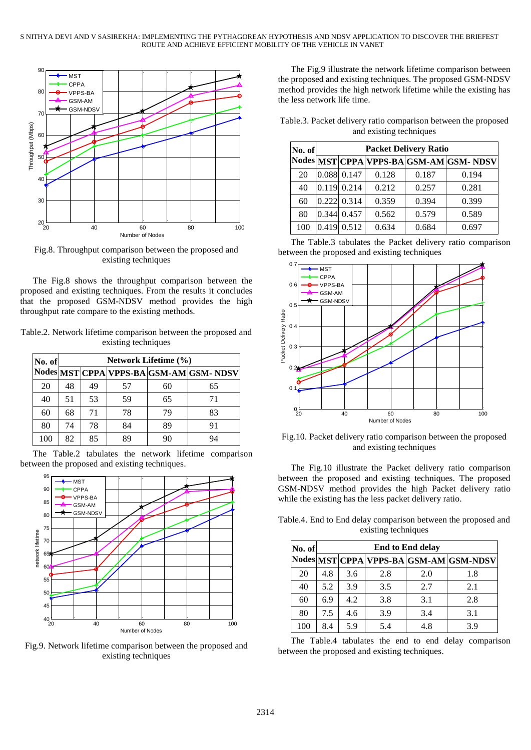

Fig.8. Throughput comparison between the proposed and existing techniques

The Fig.8 shows the throughput comparison between the proposed and existing techniques. From the results it concludes that the proposed GSM-NDSV method provides the high throughput rate compare to the existing methods.

Table.2. Network lifetime comparison between the proposed and existing techniques

| No. of | <b>Network Lifetime (%)</b> |    |    |    |                                        |
|--------|-----------------------------|----|----|----|----------------------------------------|
|        |                             |    |    |    | Nodes MST CPPA VPPS-BA GSM-AM GSM-NDSV |
| 20     | 48                          | 49 | 57 | 60 | 65                                     |
| 40     | 51                          | 53 | 59 | 65 | 71                                     |
| 60     | 68                          | 71 | 78 | 79 | 83                                     |
| 80     | 74                          | 78 | 84 | 89 | 91                                     |
| 100    | 82                          | 85 | 89 | 90 | 94                                     |

The Table.2 tabulates the network lifetime comparison between the proposed and existing techniques.



Fig.9. Network lifetime comparison between the proposed and existing techniques

The Fig.9 illustrate the network lifetime comparison between the proposed and existing techniques. The proposed GSM-NDSV method provides the high network lifetime while the existing has the less network life time.

Table.3. Packet delivery ratio comparison between the proposed and existing techniques

| No. of | <b>Packet Delivery Ratio</b> |                      |       |       |                                         |
|--------|------------------------------|----------------------|-------|-------|-----------------------------------------|
|        |                              |                      |       |       | Nodes MST CPPA VPPS-BA GSM-AM GSM- NDSV |
| 20     |                              | $0.088$ 0.147        | 0.128 | 0.187 | 0.194                                   |
| 40     |                              | $0.119 \mid 0.214$   | 0.212 | 0.257 | 0.281                                   |
| 60     |                              | $0.222$ 0.314        | 0.359 | 0.394 | 0.399                                   |
| 80     |                              | $0.344 \times 0.457$ | 0.562 | 0.579 | 0.589                                   |
| 100    | 0.419                        | 0.512                | 0.634 | 0.684 | 0.697                                   |

The Table.3 tabulates the Packet delivery ratio comparison between the proposed and existing techniques



Fig.10. Packet delivery ratio comparison between the proposed and existing techniques

The Fig.10 illustrate the Packet delivery ratio comparison between the proposed and existing techniques. The proposed GSM-NDSV method provides the high Packet delivery ratio while the existing has the less packet delivery ratio.

Table.4. End to End delay comparison between the proposed and existing techniques

| No. of | <b>End to End delay</b> |     |     |     |                                             |
|--------|-------------------------|-----|-----|-----|---------------------------------------------|
|        |                         |     |     |     | Nodes  MST  CPPA  VPPS-BA  GSM-AM  GSM-NDSV |
| 20     | 4.8                     | 3.6 | 2.8 | 2.0 | 1.8                                         |
| 40     | 5.2                     | 3.9 | 3.5 | 2.7 | 2.1                                         |
| 60     | 6.9                     | 4.2 | 3.8 | 3.1 | 2.8                                         |
| 80     | 7.5                     | 4.6 | 3.9 | 3.4 | 3.1                                         |
| 100    | 8.4                     | 5.9 | 5.4 | 4.8 | 3.9                                         |

The Table.4 tabulates the end to end delay comparison between the proposed and existing techniques.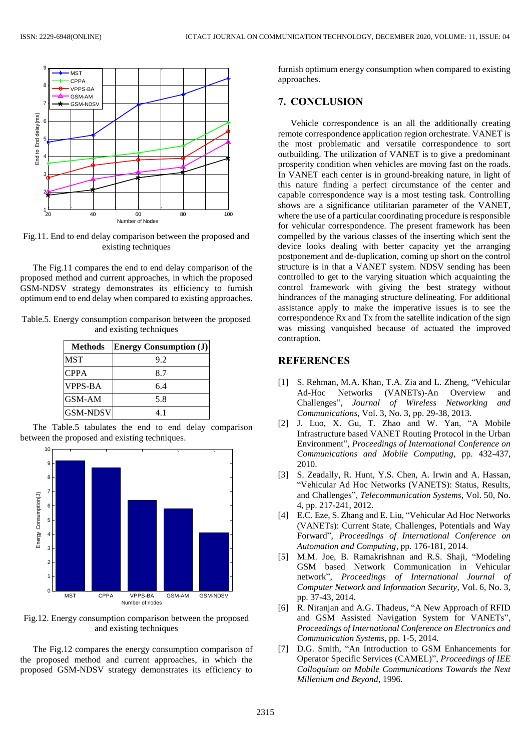

Fig.11. End to end delay comparison between the proposed and existing techniques

The Fig.11 compares the end to end delay comparison of the proposed method and current approaches, in which the proposed GSM-NDSV strategy demonstrates its efficiency to furnish optimum end to end delay when compared to existing approaches.

Table.5. Energy consumption comparison between the proposed and existing techniques

| <b>Methods</b>  | <b>Energy Consumption (J)</b> |
|-----------------|-------------------------------|
| <b>MST</b>      | 9.2                           |
| <b>CPPA</b>     | 8.7                           |
| <b>VPPS-BA</b>  | 6.4                           |
| GSM-AM          | 5.8                           |
| <b>GSM-NDSV</b> | 41                            |
|                 |                               |

The Table.5 tabulates the end to end delay comparison between the proposed and existing techniques.



Fig.12. Energy consumption comparison between the proposed and existing techniques

The Fig.12 compares the energy consumption comparison of the proposed method and current approaches, in which the proposed GSM-NDSV strategy demonstrates its efficiency to

furnish optimum energy consumption when compared to existing approaches.

# **7. CONCLUSION**

Vehicle correspondence is an all the additionally creating remote correspondence application region orchestrate. VANET is the most problematic and versatile correspondence to sort outbuilding. The utilization of VANET is to give a predominant prosperity condition when vehicles are moving fast on the roads. In VANET each center is in ground-breaking nature, in light of this nature finding a perfect circumstance of the center and capable correspondence way is a most testing task. Controlling shows are a significance utilitarian parameter of the VANET, where the use of a particular coordinating procedure is responsible for vehicular correspondence. The present framework has been compelled by the various classes of the inserting which sent the device looks dealing with better capacity yet the arranging postponement and de-duplication, coming up short on the control structure is in that a VANET system. NDSV sending has been controlled to get to the varying situation which acquainting the control framework with giving the best strategy without hindrances of the managing structure delineating. For additional assistance apply to make the imperative issues is to see the correspondence Rx and Tx from the satellite indication of the sign was missing vanquished because of actuated the improved contraption.

## **REFERENCES**

- [1] S. Rehman, M.A. Khan, T.A. Zia and L. Zheng, "Vehicular Ad-Hoc Networks (VANETs)-An Overview and Challenges", *Journal of Wireless Networking and Communications*, Vol. 3, No. 3, pp. 29-38, 2013.
- [2] J. Luo, X. Gu, T. Zhao and W. Yan, "A Mobile Infrastructure based VANET Routing Protocol in the Urban Environment", *Proceedings of International Conference on Communications and Mobile Computing*, pp. 432-437, 2010.
- [3] S. Zeadally, R. Hunt, Y.S. Chen, A. Irwin and A. Hassan, "Vehicular Ad Hoc Networks (VANETS): Status, Results, and Challenges", *Telecommunication Systems*, Vol. 50, No. 4, pp. 217-241, 2012.
- [4] E.C. Eze, S. Zhang and E. Liu, "Vehicular Ad Hoc Networks (VANETs): Current State, Challenges, Potentials and Way Forward", *Proceedings of International Conference on Automation and Computing*, pp. 176-181, 2014.
- [5] M.M. Joe, B. Ramakrishnan and R.S. Shaji, "Modeling GSM based Network Communication in Vehicular network", *Proceedings of International Journal of Computer Network and Information Security*, Vol. 6, No. 3, pp. 37-43, 2014.
- [6] R. Niranjan and A.G. Thadeus, "A New Approach of RFID and GSM Assisted Navigation System for VANETs", *Proceedings of International Conference on Electronics and Communication Systems*, pp. 1-5, 2014.
- [7] D.G. Smith, "An Introduction to GSM Enhancements for Operator Specific Services (CAMEL)", *Proceedings of IEE Colloquium on Mobile Communications Towards the Next Millenium and Beyond*, 1996.